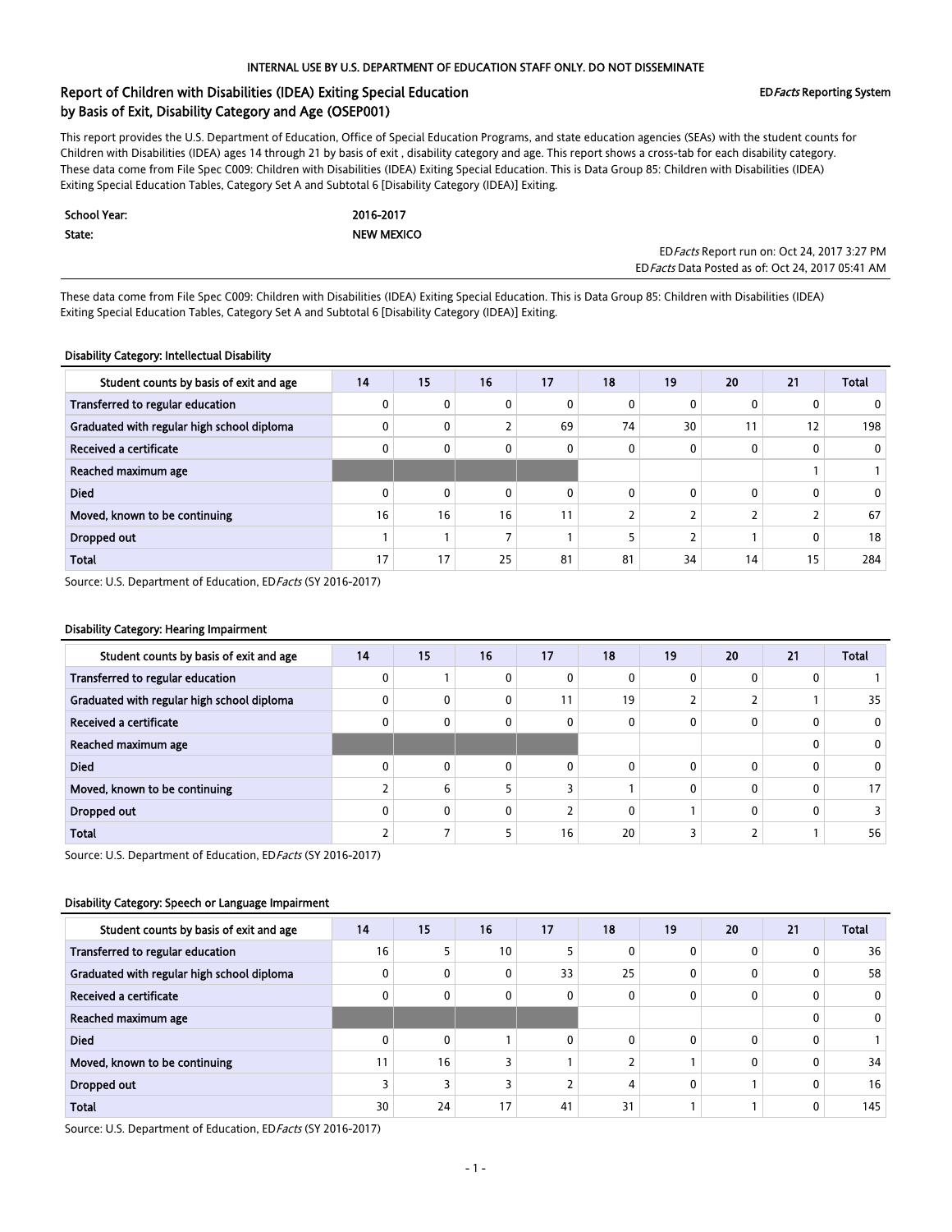# Report of Children with Disabilities (IDEA) Exiting Special Education **Example 2018** EDFacts Reporting System by Basis of Exit, Disability Category and Age (OSEP001)

This report provides the U.S. Department of Education, Office of Special Education Programs, and state education agencies (SEAs) with the student counts for Children with Disabilities (IDEA) ages 14 through 21 by basis of exit , disability category and age. This report shows a cross-tab for each disability category. These data come from File Spec C009: Children with Disabilities (IDEA) Exiting Special Education. This is Data Group 85: Children with Disabilities (IDEA) Exiting Special Education Tables, Category Set A and Subtotal 6 [Disability Category (IDEA)] Exiting.

| School Year: | 2016-2017         |
|--------------|-------------------|
| State:       | <b>NEW MEXICO</b> |

EDFacts Report run on: Oct 24, 2017 3:27 PM EDFacts Data Posted as of: Oct 24, 2017 05:41 AM

These data come from File Spec C009: Children with Disabilities (IDEA) Exiting Special Education. This is Data Group 85: Children with Disabilities (IDEA) Exiting Special Education Tables, Category Set A and Subtotal 6 [Disability Category (IDEA)] Exiting.

## Disability Category: Intellectual Disability

| Student counts by basis of exit and age    | 14 | 15       | 16                       | 17           | 18       | 19 | 20           | 21           | <b>Total</b> |
|--------------------------------------------|----|----------|--------------------------|--------------|----------|----|--------------|--------------|--------------|
| Transferred to regular education           | 0  | 0        |                          | 0            | 0        |    | $\mathbf{0}$ | 0            |              |
| Graduated with regular high school diploma | 0  | 0        | ∠                        | 69           | 74       | 30 | 11           | 12           | 198          |
| Received a certificate                     | 0  | 0        | 0                        | $\mathbf{0}$ | 0        |    | $\mathbf{0}$ | $\mathbf{0}$ | $\mathbf{0}$ |
| Reached maximum age                        |    |          |                          |              |          |    |              |              |              |
| <b>Died</b>                                | 0  | $\Omega$ | 0                        | $\mathbf{0}$ | $\Omega$ |    | $\mathbf{0}$ | 0            |              |
| Moved, known to be continuing              | 16 | 16       | 16                       | 11           |          |    |              |              | 67           |
| Dropped out                                |    |          | $\overline{\phantom{a}}$ |              |          |    |              | 0            | 18           |
| <b>Total</b>                               | 17 | 17       | 25                       | 81           | 81       | 34 | 14           | 15           | 284          |

Source: U.S. Department of Education, ED Facts (SY 2016-2017)

#### Disability Category: Hearing Impairment

| Student counts by basis of exit and age    | 14 | 15           | 16       | 17       | 18       | 19 | 20       | 21 | <b>Total</b>    |
|--------------------------------------------|----|--------------|----------|----------|----------|----|----------|----|-----------------|
| Transferred to regular education           |    |              |          | 0        | 0        |    |          |    |                 |
| Graduated with regular high school diploma |    | $\mathbf{0}$ |          |          | 19       |    |          |    | 35              |
| Received a certificate                     |    | $\mathbf{0}$ | 0        | 0        | 0        |    |          |    | $^{\circ}$      |
| Reached maximum age                        |    |              |          |          |          |    |          | 0  | $\mathbf{0}$    |
| <b>Died</b>                                |    | $\Omega$     | $\Omega$ | $\Omega$ | $\Omega$ |    | $\Omega$ | 0  | 0               |
| Moved, known to be continuing              |    | 6            |          |          |          |    |          | 0  | 17 <sup>1</sup> |
| Dropped out                                |    | $\mathbf{0}$ | 0        |          | $\Omega$ |    |          |    |                 |
| Total                                      |    |              |          | 16       | 20       |    |          |    | 56              |

Source: U.S. Department of Education, ED Facts (SY 2016-2017)

#### Disability Category: Speech or Language Impairment

| Student counts by basis of exit and age    | 14 | 15           | 16              | 17       | 18           | 19 | 20           | 21 | <b>Total</b> |
|--------------------------------------------|----|--------------|-----------------|----------|--------------|----|--------------|----|--------------|
| Transferred to regular education           | 16 |              | 10 <sub>1</sub> |          | 0            |    | $\mathbf{0}$ | 0  | 36           |
| Graduated with regular high school diploma |    | 0            | 0               | 33       | 25           |    | 0            | 0  | 58           |
| Received a certificate                     |    | 0            | 0               | 0        | 0            |    | 0            | 0  | $\mathbf{0}$ |
| Reached maximum age                        |    |              |                 |          |              |    |              | 0  |              |
| <b>Died</b>                                |    | $\mathbf{0}$ |                 | $\Omega$ | $\mathbf{0}$ |    | $\mathbf{0}$ | 0  |              |
| Moved, known to be continuing              | 11 | 16           | ╮               |          |              |    | 0            | 0  | 34           |
| Dropped out                                |    | 3            |                 |          | 4            |    |              | 0  | 16           |
| <b>Total</b>                               | 30 | 24           | 17              | 41       | 31           |    |              | 0  | 145          |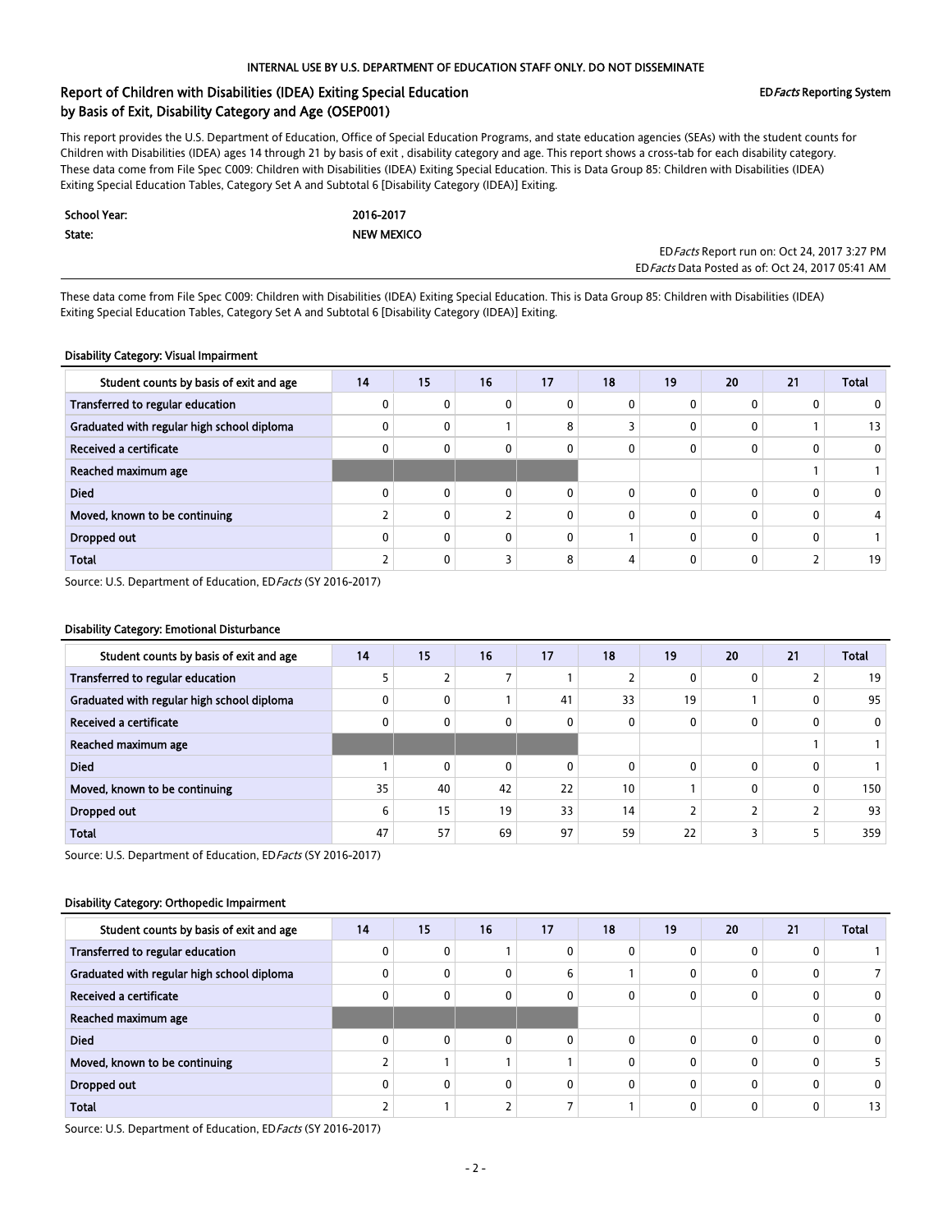# Report of Children with Disabilities (IDEA) Exiting Special Education **Example 2018** EDFacts Reporting System by Basis of Exit, Disability Category and Age (OSEP001)

This report provides the U.S. Department of Education, Office of Special Education Programs, and state education agencies (SEAs) with the student counts for Children with Disabilities (IDEA) ages 14 through 21 by basis of exit , disability category and age. This report shows a cross-tab for each disability category. These data come from File Spec C009: Children with Disabilities (IDEA) Exiting Special Education. This is Data Group 85: Children with Disabilities (IDEA) Exiting Special Education Tables, Category Set A and Subtotal 6 [Disability Category (IDEA)] Exiting.

| School Year: | 2016-2017         |
|--------------|-------------------|
| State:       | <b>NEW MEXICO</b> |

EDFacts Report run on: Oct 24, 2017 3:27 PM EDFacts Data Posted as of: Oct 24, 2017 05:41 AM

These data come from File Spec C009: Children with Disabilities (IDEA) Exiting Special Education. This is Data Group 85: Children with Disabilities (IDEA) Exiting Special Education Tables, Category Set A and Subtotal 6 [Disability Category (IDEA)] Exiting.

### Disability Category: Visual Impairment

| Student counts by basis of exit and age    | 14 | 15       | 16 | 17 | 18       | 19 | 20 | 21 | <b>Total</b> |
|--------------------------------------------|----|----------|----|----|----------|----|----|----|--------------|
| Transferred to regular education           |    | 0        | 0  |    | n        |    |    | 0  |              |
| Graduated with regular high school diploma |    | 0        |    | 8  |          |    |    |    | 13           |
| Received a certificate                     |    | $\Omega$ | 0  |    | $\Omega$ |    |    | 0  | 0            |
| Reached maximum age                        |    |          |    |    |          |    |    |    |              |
| <b>Died</b>                                |    | 0        | 0  |    | $\Omega$ |    | 0  | 0  | 0            |
| Moved, known to be continuing              |    | 0        |    | 0  | 0        |    | 0  | 0  |              |
| <b>Dropped out</b>                         |    | 0        | 0  | 0  |          |    | 0  | 0  |              |
| <b>Total</b>                               |    | 0        |    | 8  | 4        |    |    |    | 19           |

Source: U.S. Department of Education, ED Facts (SY 2016-2017)

#### Disability Category: Emotional Disturbance

| Student counts by basis of exit and age    | 14 | 15           | 16 | 17           | 18       | 19 | 20 | 21           | <b>Total</b> |
|--------------------------------------------|----|--------------|----|--------------|----------|----|----|--------------|--------------|
| Transferred to regular education           |    |              |    |              |          | 0  | 0  | C.<br>∠      | 19           |
| Graduated with regular high school diploma |    | 0            |    | 41           | 33       | 19 |    | 0            | 95           |
| Received a certificate                     |    | $\mathbf{0}$ | 0  | 0            | $\Omega$ | 0  | 0  | $\mathbf{0}$ | 0            |
| Reached maximum age                        |    |              |    |              |          |    |    |              |              |
| <b>Died</b>                                |    | $\mathbf{0}$ | 0  | $\mathbf{0}$ | $\Omega$ | 0  | 0  | $\mathbf{0}$ |              |
| Moved, known to be continuing              | 35 | 40           | 42 | 22           | 10       |    | 0  | $\mathbf{0}$ | 150          |
| Dropped out                                | 6  | 15           | 19 | 33           | 14       |    |    | ∠            | 93           |
| Total                                      | 47 | 57           | 69 | 97           | 59       | 22 |    | 5            | 359          |

Source: U.S. Department of Education, ED Facts (SY 2016-2017)

#### Disability Category: Orthopedic Impairment

| Student counts by basis of exit and age    | 14 | 15           | 16 | 17           | 18 | 19 | 20       | 21 | <b>Total</b> |
|--------------------------------------------|----|--------------|----|--------------|----|----|----------|----|--------------|
| Transferred to regular education           |    | 0            |    |              |    |    | 0        | 0  |              |
| Graduated with regular high school diploma |    | $\mathbf{0}$ | 0  | 6            |    |    | $\Omega$ | 0  |              |
| Received a certificate                     |    | 0            | 0  | 0            |    |    | 0        | 0  | 0            |
| Reached maximum age                        |    |              |    |              |    |    |          | 0  | 0            |
| <b>Died</b>                                |    | $\mathbf{0}$ | 0  | 0            | 0  |    | 0        | 0  |              |
| Moved, known to be continuing              |    |              |    |              |    |    | 0        | 0  |              |
| Dropped out                                |    | $\mathbf{0}$ | 0  | $\mathbf{0}$ | 0  |    | 0        | 0  |              |
| <b>Total</b>                               |    |              |    |              |    |    | 0        | 0  | 13           |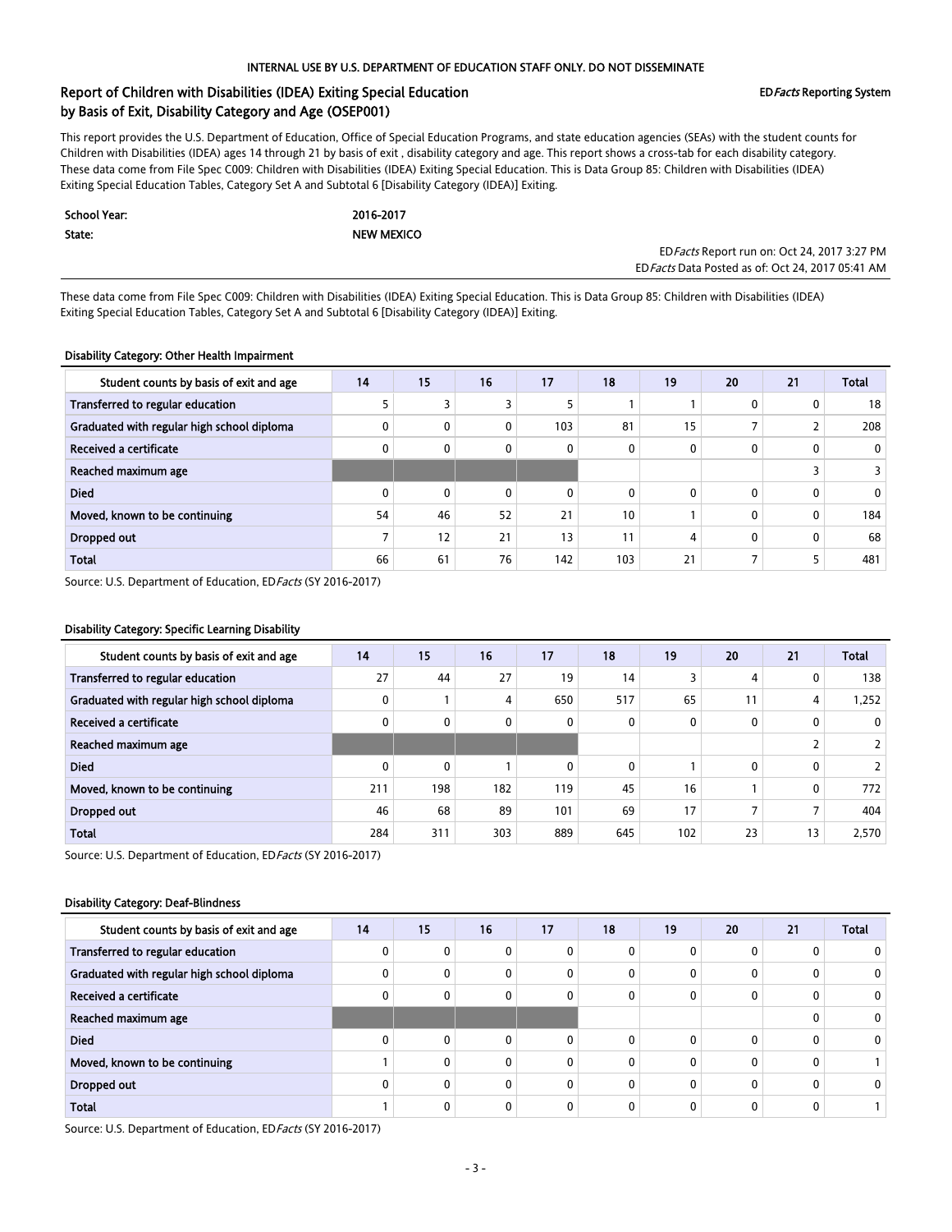# Report of Children with Disabilities (IDEA) Exiting Special Education **Example 2018** EDFacts Reporting System by Basis of Exit, Disability Category and Age (OSEP001)

This report provides the U.S. Department of Education, Office of Special Education Programs, and state education agencies (SEAs) with the student counts for Children with Disabilities (IDEA) ages 14 through 21 by basis of exit , disability category and age. This report shows a cross-tab for each disability category. These data come from File Spec C009: Children with Disabilities (IDEA) Exiting Special Education. This is Data Group 85: Children with Disabilities (IDEA) Exiting Special Education Tables, Category Set A and Subtotal 6 [Disability Category (IDEA)] Exiting.

| School Year: | 2016-2017         |
|--------------|-------------------|
| State:       | <b>NEW MEXICO</b> |

EDFacts Report run on: Oct 24, 2017 3:27 PM EDFacts Data Posted as of: Oct 24, 2017 05:41 AM

These data come from File Spec C009: Children with Disabilities (IDEA) Exiting Special Education. This is Data Group 85: Children with Disabilities (IDEA) Exiting Special Education Tables, Category Set A and Subtotal 6 [Disability Category (IDEA)] Exiting.

## Disability Category: Other Health Impairment

| Student counts by basis of exit and age    | 14 | 15           | 16           | 17  | 18       | 19 | 20           | 21           | <b>Total</b> |
|--------------------------------------------|----|--------------|--------------|-----|----------|----|--------------|--------------|--------------|
| Transferred to regular education           |    |              |              |     |          |    | $\mathbf{0}$ | 0            | 18           |
| Graduated with regular high school diploma |    | $\mathbf{0}$ | 0            | 103 | 81       | 15 |              |              | 208          |
| Received a certificate                     |    | $\mathbf{0}$ | 0            | 0   | 0        |    | $\mathbf{0}$ | $\mathbf{0}$ | $\mathbf{0}$ |
| Reached maximum age                        |    |              |              |     |          |    |              |              |              |
| <b>Died</b>                                |    | $\mathbf{0}$ | $\mathbf{0}$ | 0   | $\Omega$ |    | $\mathbf{0}$ | $\mathbf{0}$ |              |
| Moved, known to be continuing              | 54 | 46           | 52           | 21  | 10       |    | $\mathbf{0}$ | $\mathbf{0}$ | 184          |
| Dropped out                                |    | 12           | 21           | 13  | 11       |    | $\mathbf{0}$ | 0            | 68           |
| <b>Total</b>                               | 66 | 61           | 76           | 142 | 103      | 21 |              |              | 481          |

Source: U.S. Department of Education, ED Facts (SY 2016-2017)

### Disability Category: Specific Learning Disability

| Student counts by basis of exit and age    | 14  | 15           | 16  | 17       | 18  | 19  | 20           | 21             | <b>Total</b> |
|--------------------------------------------|-----|--------------|-----|----------|-----|-----|--------------|----------------|--------------|
| Transferred to regular education           | 27  | 44           | 27  | 19       | 14  |     | 4            | 0              | 138          |
| Graduated with regular high school diploma |     |              | 4   | 650      | 517 | 65  | 11           | 4              | .252         |
| Received a certificate                     |     | $\mathbf 0$  | 0   | 0        | 0   | 0   | $\mathbf{0}$ | 0              | $\mathbf{0}$ |
| Reached maximum age                        |     |              |     |          |     |     |              |                |              |
| <b>Died</b>                                |     | $\mathbf{0}$ |     | $\Omega$ | 0   |     | $\Omega$     | 0              |              |
| Moved, known to be continuing              | 211 | 198          | 182 | 119      | 45  | 16  |              | 0              | 772          |
| Dropped out                                | 46  | 68           | 89  | 101      | 69  | 17  |              | $\overline{ }$ | 404          |
| <b>Total</b>                               | 284 | 311          | 303 | 889      | 645 | 102 | 23           | 13             | 2,570        |

Source: U.S. Department of Education, ED Facts (SY 2016-2017)

#### Disability Category: Deaf-Blindness

| Student counts by basis of exit and age    | 14 | 15           | 16 | 17           | 18 | 19 | 20           | 21 | <b>Total</b> |
|--------------------------------------------|----|--------------|----|--------------|----|----|--------------|----|--------------|
| Transferred to regular education           |    | $\mathbf{0}$ | 0  |              |    |    | 0            | 0  |              |
| Graduated with regular high school diploma |    | $\mathbf{0}$ | 0  | 0            | 0  |    | 0            | 0  |              |
| Received a certificate                     |    | 0            | 0  | 0            | 0  |    | 0            | 0  | 0            |
| Reached maximum age                        |    |              |    |              |    |    |              | 0  | 0            |
| <b>Died</b>                                |    | $\mathbf{0}$ | 0  | $\Omega$     | 0  |    | $\mathbf{0}$ | 0  | 0            |
| Moved, known to be continuing              |    | 0            | 0  | 0            | ŋ  |    | 0            | 0  |              |
| Dropped out                                |    | $\mathbf{0}$ | 0  | $\mathbf{0}$ |    |    | 0            | 0  |              |
| <b>Total</b>                               |    | 0            | 0  |              |    |    | 0            | 0  |              |